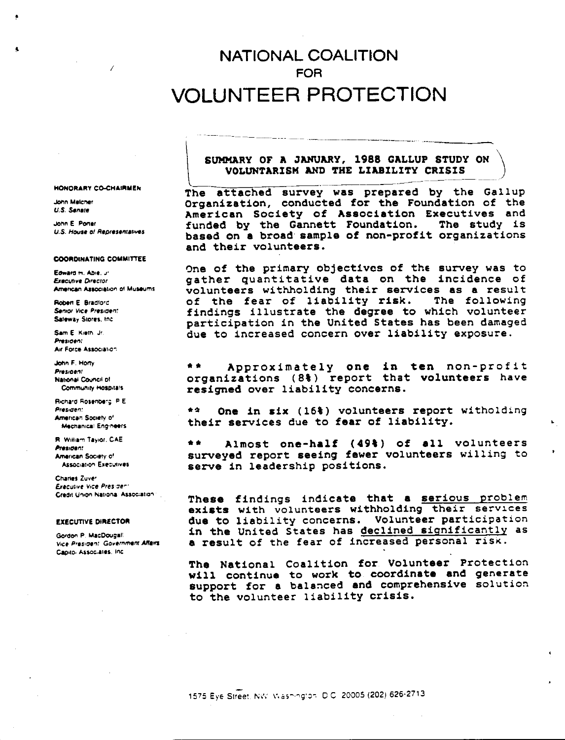# **NATIONAL COALITION FOR** VOLUNTEER PROTECTION

#### SUMMARY OF A JANUARY, 1988 GALLUP STUDY ON VOLUNTARISM AND THE LIABILITY CRISIS

The attached survey was prepared by the Gallup Organization, conducted for the Foundation of the American Society of Association Executives and funded by the Gannett Foundation. The study is based on a broad sample of non-profit organizations and their volunteers.

One of the primary objectives of the survey was to gather quantitative data on the incidence of volunteers withholding their services as a result of the fear of liability risk. The following findings illustrate the degree to which volunteer participation in the United States has been damaged due to increased concern over liability exposure.

 $\frac{1}{2}$ Approximately one in ten non-profit organizations (8%) report that volunteers have resigned over liability concerns.

 $\bullet$   $\bullet$ One in six (16%) volunteers report witholding their services due to fear of liability.

 $\bullet\bullet$ Almost one-half (49%) of all volunteers surveyed report seeing fewer volunteers willing to serve in leadership positions.

These findings indicate that a serious problem exists with volunteers withholding their services due to liability concerns. Volunteer participation in the United States has declined significantly as a result of the fear of increased personal risk.

The National Coalition for Volunteer Protection will continue to work to coordinate and generate support for a balanced and comprehensive solution to the volunteer liability crisis.

**HONORARY CO-CHAIRMEN** 

 $\overline{1}$ 

**John Meicher U.S. Senate** 

John F. Poner U.S. House of Representatives

#### **COORDINATING COMMITTEE**

Edward H. Abie. Jr. **Freculive Director** American Association of Museums

**Bohan F. Bradlord** Senior Vice President Saleway Stores, Inc.

Sam E. Kieth, Jr. President Air Force Association

John F. Hony **President** National Council of Community Hospitals

Richard Rosenberg, P.E. President American Society of Mechanical Engineers

R. William Taylor, CAE President American Society of Association Executives

Charles Zuver Executive Vice President Credit Union National Association

#### **EXECUTIVE DIRECTOR**

Gordon P. MacDougali Vice President: Government Affeirs Capitoi Associates, Inc.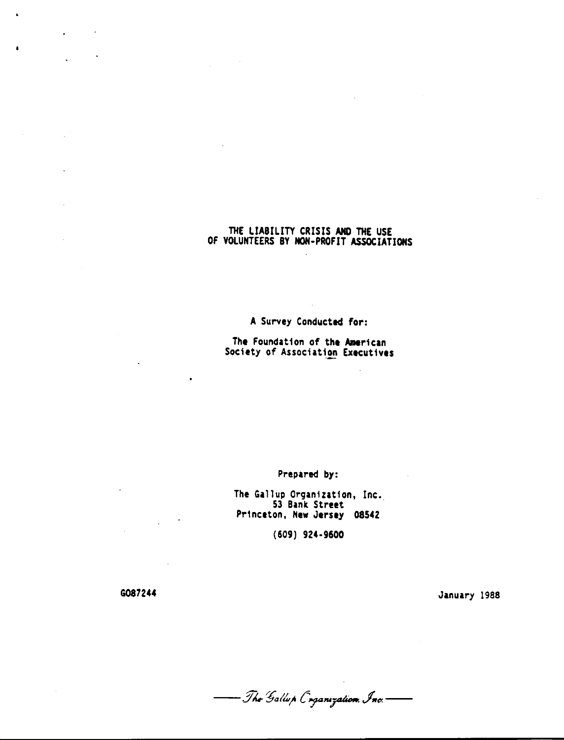#### THE LIABILITY CRISIS ANO THE USE OF VOLUNTEERS BY NOH-PROFIT ASSOCIATIONS

**A** Survey Conducted for:

The Foundation of the American Society of Association Executives

#### Prepared by:

The Gallup Organization, Inc. 53 Bank Street Princeton, New Jersey 08542

(609) 924-9600

G087244

 $\ddot{\phantom{a}}$ 

 $\mathbf{r} = \mathbf{r} \times \mathbf{r}$ 

 $\frac{1}{2}$  .

 $\sim 10^{11}$  k  $^{-1}$ 

January 1988

- The Gallup Coganization, Inc.-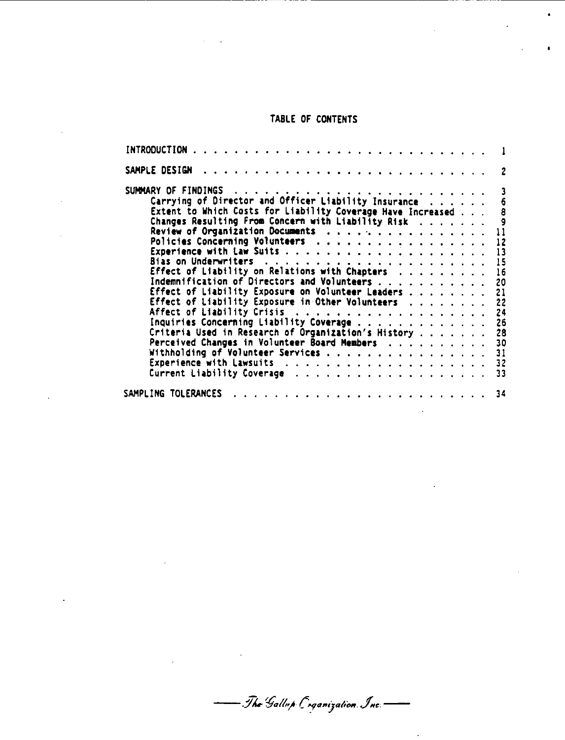## TABLE OF CONTENTS

 $\bullet$ 

 $\hat{\textbf{a}}$ 

| SAMPLE DESIGN                                               | $\overline{\phantom{a}}$ |
|-------------------------------------------------------------|--------------------------|
|                                                             |                          |
| Carrying of Director and Officer Liability Insurance        | $6\phantom{1}$           |
| Extent to Which Costs for Liability Coverage Have Increased | $\pmb{8}$                |
| Changes Resulting From Concern with Liability Risk          | - 9                      |
| Review of Organization Documents                            | 11                       |
| Policies Concerning Volunteers                              | 12                       |
|                                                             | 13                       |
|                                                             | 15                       |
| Effect of Liability on Relations with Chapters              | 16                       |
| Indemnification of Directors and Volunteers                 | 20                       |
| Effect of Liability Exposure on Volunteer Leaders           | 21                       |
| Effect of Liability Exposure in Other Volunteers            | 22                       |
|                                                             | 24                       |
| Inquiries Concerning Liability Coverage                     | 26                       |
| Criteria Used in Research of Organization's History         | 28                       |
| Perceived Changes in Volunteer Board Members                | 30                       |
| Withholding of Volunteer Services                           | 31                       |
|                                                             | 32                       |
|                                                             | 33                       |
|                                                             |                          |
| SAMPLING TOLERANCES                                         | -34                      |

- The Gallup C*rganization*. Inc.-

 $\label{eq:2.1} \frac{1}{\sqrt{2}}\int_{0}^{\infty}\frac{1}{\sqrt{2}}\left(\frac{1}{\sqrt{2}}\right)^{2}e^{-\frac{1}{2}}\left(\frac{1}{\sqrt{2}}\right)^{2}e^{-\frac{1}{2}}\left(\frac{1}{\sqrt{2}}\right)^{2}e^{-\frac{1}{2}}\left(\frac{1}{\sqrt{2}}\right)^{2}e^{-\frac{1}{2}}\left(\frac{1}{\sqrt{2}}\right)^{2}e^{-\frac{1}{2}}\left(\frac{1}{\sqrt{2}}\right)^{2}e^{-\frac{1}{2}}\left(\frac{1}{\sqrt{2}}\right)^{2}e^{-$ 

 $\sim 10$ 

 $\cdot$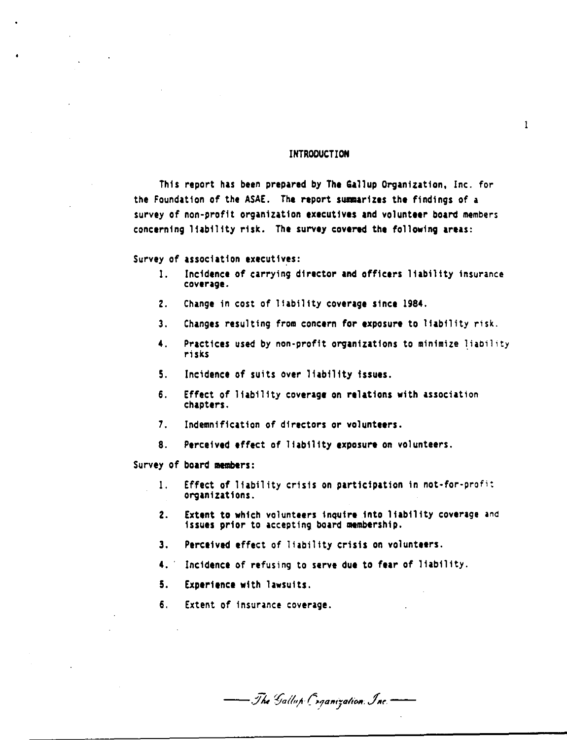#### INTRODUCTION

 $\mathbf{1}$ 

This report has been prepared by The Gallup Organization, Inc. for the Foundation of the ASAE. The report summarizes the findings of a survey of non-profit organization executives and volunteer board members concerning liability risk. The survey covered the following areas:

Survey of association executives:

- I. Incidence of carrying director and officers liability insurance coverage.
- Z. Change in cost of liability coverage since 1984.
- 3. Changes resulting from concern for exposure to liability risk.
- 4. Practices used by non-profit organizations to minimize liability risks
- 5. Incidence of suits over liability issues.
- 6. Effect of liability coverage on relations with association chapters.
- 7. Indemnification of directors or volunteers.
- 8. Perceived effect of liability **exposure** on volunteers.

Survey of board members:

- I. Effect of liability crisis on participation in not-for-profit organizations.
- 2. Extent to which volunteers inquire into liability coverage and issues prior to accepting board membership.
- 3. Perceived effect of liability crisis on volunteers.
- 4. Incidence of refusing to serve due to fear of liability.
- 5. Experience with lawsuits.
- 6. Extent of insurance coverage.

- The Gallup Coganization Inc.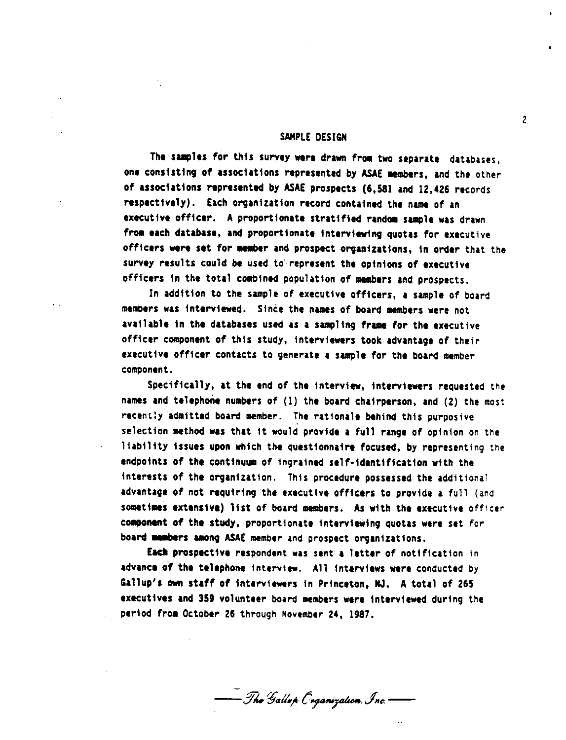#### SAMPLE DESIGN

The samples for this survey were drawn from two separate databases, one consisting of associations represented by ASAE members, and the other of associations "presented by ASA£ prospects (6,581 and 12,426 records respectively). Each organization record contained the name of an executive officer. A proportionate stratified random sample was drawn from each database, and proportionate interviewing quotas for executive officers were set for member and prospect organizations, in order that the survey results could be used to represent the opinions of executive officers in the total combined population of members and prospects.

In addition to the sample of executive officers, a sample of board members was interviewed. Since the names of board members were not available in the databases used as a sampling frame for the executive officer component of this study, interviewers took advantage of their executive officer contacts to generate a sample for the board member component.

Specifically, at the end of the interview, interviewers requested the names and telephone numbers of (1) the board chairperson, and (2) the most recently admitted board member. The rationale behind this purposive selection method was that it would provide a full range of opinion on the liability issues upon which the questionnaire focused, by representing the endpoints of the continuum of ingrained self-identification with the interests of the organization. This procedure possessed the additional advantage of not requiring the executive officers to provide a full (and sometimes extensive) list of board members. As with the executive officer component of the study, proportionate interviewing quotas were set for board members among ASAE member and prospect organizations.

Eacb prospective respondent was sent a letter of notification in advance of the telephone interview. All interviews were conducted by Gallup's own staff of interviewers in Princeton. NJ. A total of 265 executives and 359 volunteer board members were interviewed during the period *from* October 26 through November 24, 1987.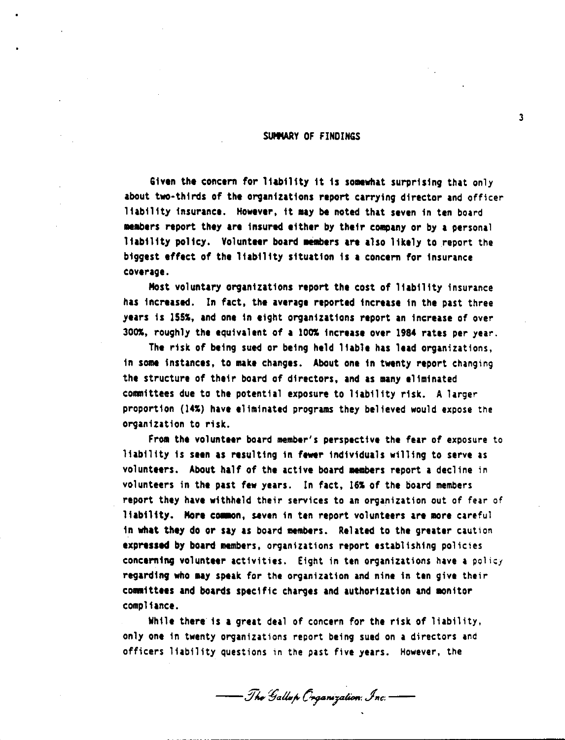#### SUMMARY OF FINDINGS

Given the concern for liability it is somewhat surprising that only about two-thirds of the organtzattons report carrying director and officer liability insurance. However, it may be noted that seven in ten board embers report they are insured either by their c011111ny or by **a** personal liability policy. Volunteer board members are also likely to report the biggest effect of the liability situation is a concern for insurance coverage.

Most voluntary organizations report the cost of liability insurance has increased. In fact, the average reported increase in the past three years ts lSSS, and one in eight organizations report an increase of over JOOS, roughly the equivalent *of* **a** lOOS increase over 1984 rates per year.

The risk of being sued or being held liable has lead organizations, in some instances, to make changes. About one in twenty report changing the structure of their board of directors, and as many eliminated committees due to the potential exposure to liability risk. A larger proportion (14%) have eliminated programs they believed would expose the organization to risk.

From the volunteer board member's perspective the fear of exposure to liability is **seen** as resulting in fewer individuals willing to serve as volunteers. About half of the active board members report a decline in volunteers in the past few years. In fact, 16S of the board members report they have withheld their services to an organization out of fear of liability. More common, seven in ten report volunteers are more careful in what they do or say as board members. Related to the greater caution expressed by board members, organizations report establishing policies concerning volunteer activities. Eight in ten organizations have a policy regarding who may speak for the organization and nine in ten give their coanittees and boards specific charges and authorization and monitor compliance.

While there is a great deal of concern for the risk of liability, only one in twenty organizations report being sued on a directors and officers liability questions in the past five years. However, the

- The Gallup Organization, Inc. ——

3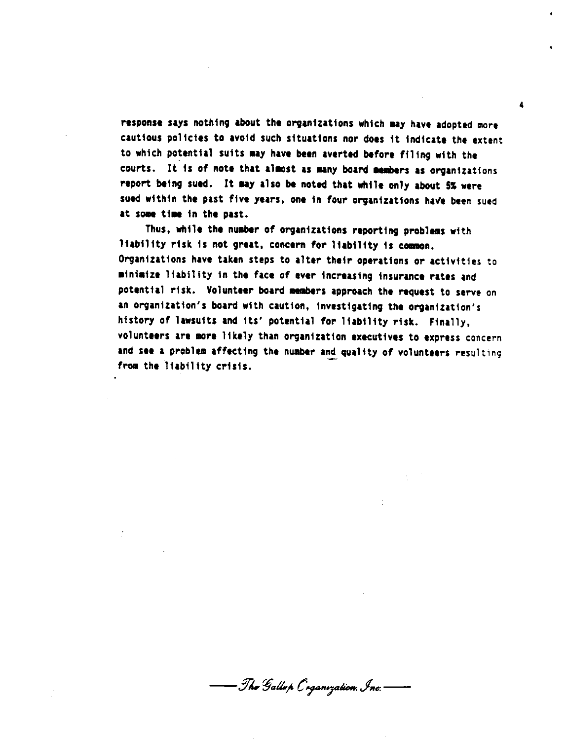response says nothing about the organizations which may have adopted more cautious policies to avoid such situations nor does it indicate the extent to which potential suits ay have been averted before filing with the courts. It is of note that almost as many board members as organizations report being sued. It may also be noted that while only about 5% were sued within the past five years, one in four organizations have been sued at some time in the past.

Thus, while the number of organizations reporting problems with liability risk is not great, concern for liability is common. Organizations have taken steps to alter their operations *or* activities to minimize liability in the face of ever increasing insurance rates and potential risk. Volunteer board members approach the request to serve on an organization's board with caution, investigating the organization's history of lawsuits and Its' potential for liability risk. Finally, volunteers are more likely than organization executives to express concern and see a problem affecting the number and quality of volunteers resulting from the liability crisis.

- The Gallap Crganization, Inc.-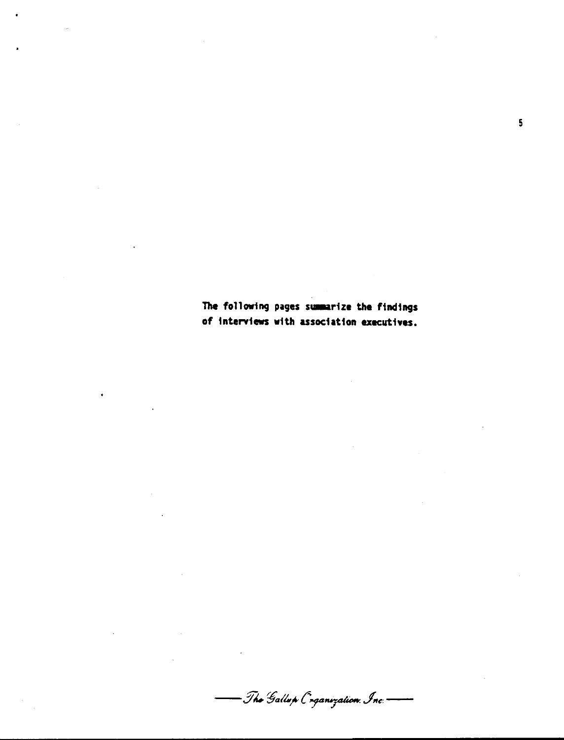The following pages summarize the findings of interviews with association executives.

 $\ddot{\phantom{0}}$ 

 $\overline{\mathbf{5}}$ 

— The Gallup Coganization Inc. ——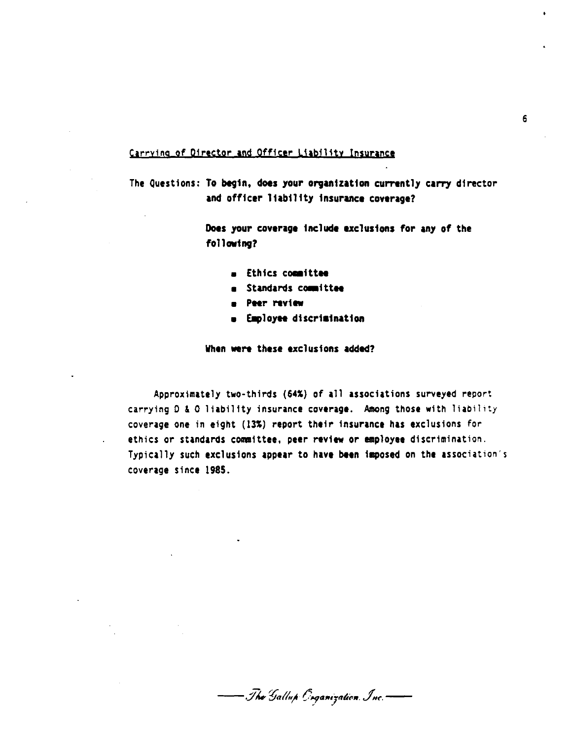#### Carrying of Director and Officer Liability Insurance

The Questions: To begin, does your organization currently carry director and officer liability insurance coverage?

> Does your coverage include exclusions for any of the **following?**

- $=$  Ethics committee
- **m** Standards committee
- **PHr "view**
- **EaployH** discri inatton

When were these exclusions added?

Approximately two-thirds **(641)** of all associations surveyed report carrying D & 0 liability insurance **coverage.** Among those with liability coverage one in eight (131) report their insurance has exclusions for ethics or standards committee, peer review or employee discrimination. Typically such exclusions appear to have been imposed on the association's coverage since 1985.

- The Gallup Geganization Inc. --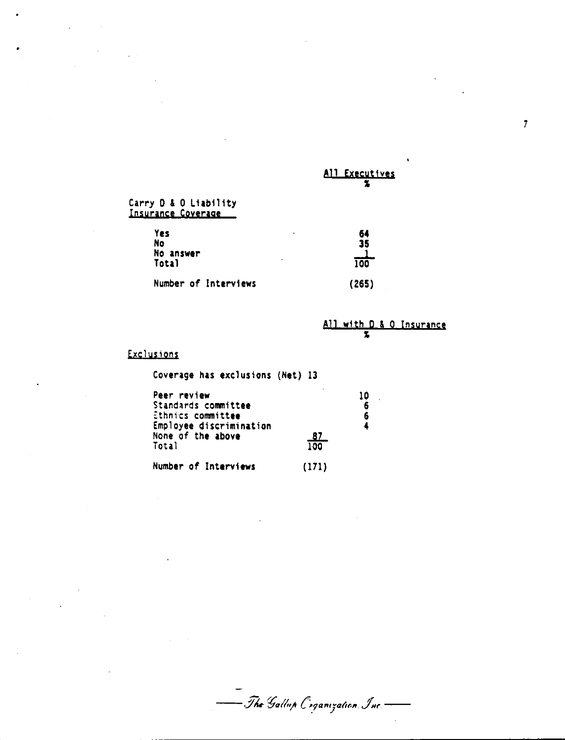All Executives

 $\overline{7}$ 

# Carry D & O Liability<br>Insurance Coverage

| Yes<br><b>No</b><br>No answer<br>Total | ۰<br>٠ | 64<br>35<br>100 |
|----------------------------------------|--------|-----------------|
| Number of Interviews                   |        | (265)           |

|  |  | All with D & O Insurance |
|--|--|--------------------------|
|  |  |                          |

## **Exclusions**

 $\sim$ 

 $\mathcal{L}_{\text{eff}}$ 

 $\frac{1}{2}$  .

Coverage has exclusions (Net) 13

| Peer review<br>Standards committee<br>Ethnics committee |                  | 10<br>6<br>6 |
|---------------------------------------------------------|------------------|--------------|
| Employee discrimination<br>None of the above<br>Total   | <u>87</u><br>100 |              |
| Number of Interviews                                    | (171)            |              |

-<br>— T<mark>he</mark> Gallup C*r*ganization. Inc.—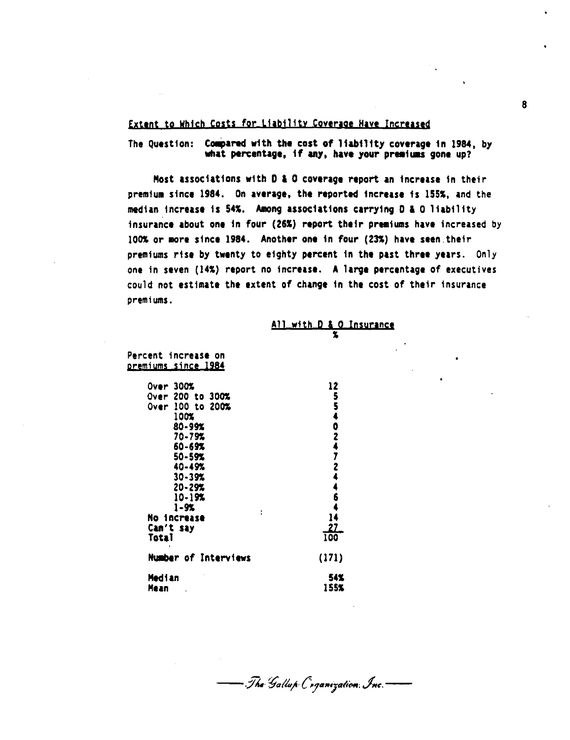#### **Extent to Which Costs for Liability Coverage Have Increased**

# The Question: **Compared with the cost of liability coverage in 1984**, by what percentage, if any, have your premiums gone up?

Most associations w1th D **l** O coverage report an increase in their premium since 1984. On average, the reported increase is 155%, and the median increase is 54%. Among associations carrying D & O liability insurance about one in four (261) report their premiums have increased by 100% or more since 1984. Another one in four (23%) have seen their premiums rise by twenty to eighty percent in the past three years. Only one in seven (141) report no increase. A large percentage of executives could not estimate the extent of change in the cost of their insurance premiums.

- The Gallup Coganization. Inc.-

# **All with D & O Insurance**

| Percent increase on<br><u>premiums since 1984</u>                                                                                                                                                                     |                                        |
|-----------------------------------------------------------------------------------------------------------------------------------------------------------------------------------------------------------------------|----------------------------------------|
| <b>Over 300%</b><br>Over 200 to 300%<br>Over 100 to 200%<br>100%<br>$80 - 99%$<br>70-79%<br>60-69%<br>$50 - 59%$<br>40-49%<br>$30 - 39%$<br>$20 - 29%$<br>$10 - 19%$<br>$1 - 9%$<br>No increase<br>Can't say<br>Total | 12<br>554024724464<br>14<br>-27<br>100 |
| Number of Interviews                                                                                                                                                                                                  | (171)                                  |
| Median<br>Mean                                                                                                                                                                                                        | 54%<br>155%                            |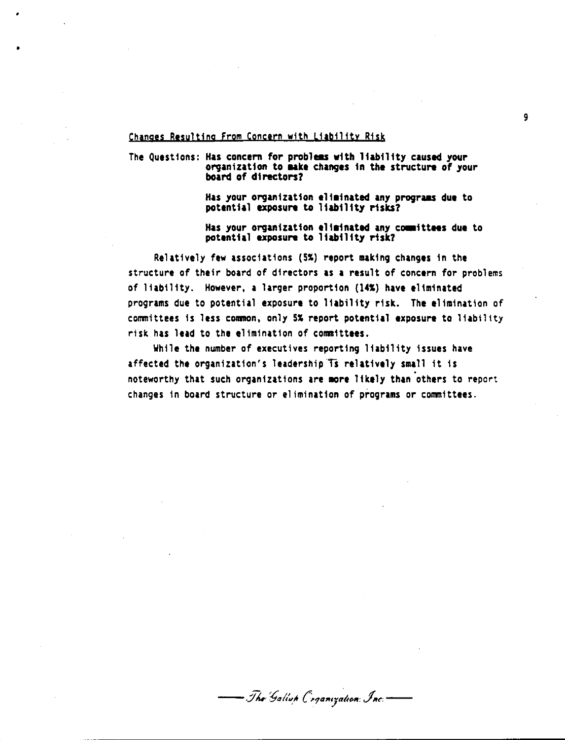#### Changes Resulting From Concern with Liability Risk

•

# The Questions: Has concern for problems with liability caused your<br>organization to make changes in the structure of your<br>board of directors?

Has your organization eliminated any programs due to potential **exposure** to liability risks?

Has your organization eliminated any committees due to potential **exposure** to liability risk?

Relatively few associations **(SS) report making changes** In the structure of their board of directors **as a** result of concern for problems of liability. However, **a** larger proportion **(141) have eliminated**  programs due to potential exposure to liability risk. The elimination of committees is less comon, only SS report **potential exposure** to liability risk has lead to the elimination of connittees.

While the number of executives reporting liability issues have affected the organization's leadership Ts relatively small it is noteworthy that such organizations are more likely than others to report changes In board structure or elimination of programs or committees.

- The Gallun Coganization Inc.-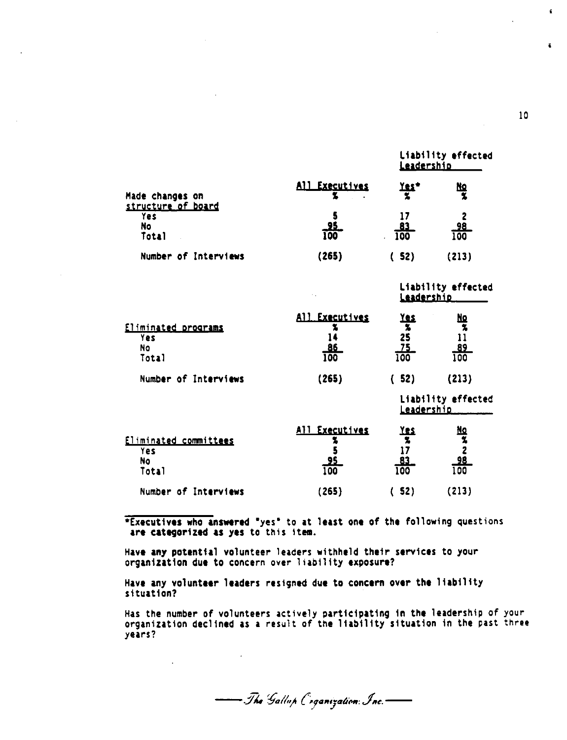|                                       |                  | Leadership       |                  |  |
|---------------------------------------|------------------|------------------|------------------|--|
| Made changes on<br>structure of board | All Executives   | <u>res,</u>      | <u>No</u>        |  |
| <b>Yes</b><br>No<br>Total             | $\frac{95}{100}$ | <u>83</u><br>100 | $\frac{98}{100}$ |  |
| Number of Interviews                  | (265)            | (52)             | (213)            |  |

|                                                         |                              | Leadership                                          |                                                                              |
|---------------------------------------------------------|------------------------------|-----------------------------------------------------|------------------------------------------------------------------------------|
| <u>Eliminated programs</u><br>Yes<br><b>No</b><br>Total | All Executives<br>86<br>100  | <u> 185</u><br>25<br><u>75.</u><br>$\overline{100}$ | 血类<br>$\begin{array}{r} 11 \\ \underline{89} \\ \underline{100} \end{array}$ |
| Number of Interviews                                    | (265)                        | 52)                                                 | (213)                                                                        |
|                                                         |                              | Leadership                                          | Liability effected                                                           |
| Eliminated committees<br><b>Yes</b><br>No<br>- - -      | All Executives<br><b>TAA</b> | <u>es </u><br>$\overline{\bullet}$                  | <u>NQ</u><br>98<br>1.AA                                                      |

| Total                | ستنتب<br>$\overline{1}00$ | ____<br>100 | ___<br>100 |
|----------------------|---------------------------|-------------|------------|
| Number of Interviews | (265)                     | (52)        | (213)      |
|                      |                           |             |            |

\*Executives who **answered** "yes" to at least one of the following questions are categorized as yes to this item.

Have any potential volunteer leaders withheld their services to your organization due to concern over liability exposure?

Have any volunteer leaders resigned due to concern over the liability situation?

Has the number of volunteers actively participating in the leadership of your organization declined as a result of the liability situation in the past three years?

- The Gallup Coganization Inc.

10

 $\ddot{\phantom{a}}$ 

 $\overline{\bullet}$ 

Liability **effected** 

Liability **effected**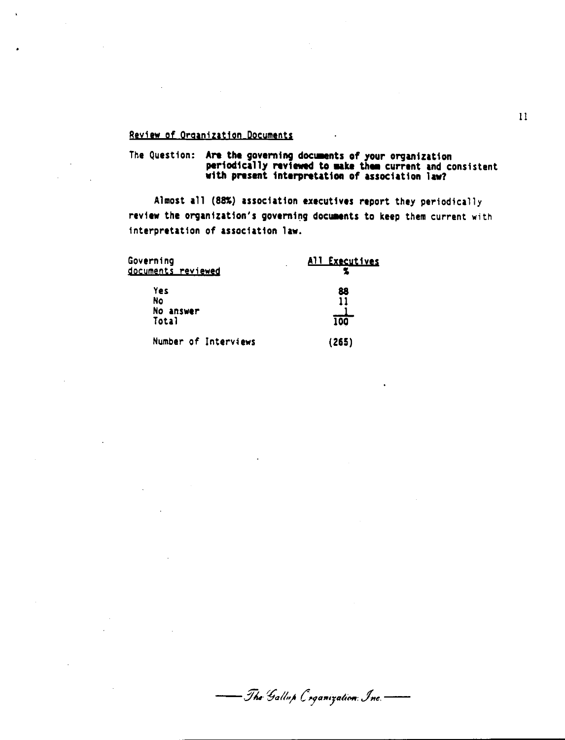#### Reviaw of Orqanizatjon Documents

# The Question: Are the governing documents of your organization periodically reviewed to make them current and consistent with present interpretation of association law?

Almost all (88%) association executives report they periodically review the organization's governing documents to keep them current with interpretation of association law.

| Governing<br>documents reviewed | All Executives  |
|---------------------------------|-----------------|
| Yes<br>No<br>No answer<br>Total | 88<br>11<br>100 |
| Number of Interviews            | (265)           |

- The Gallup Coganization: Inc.  $\overline{\phantom{a}}$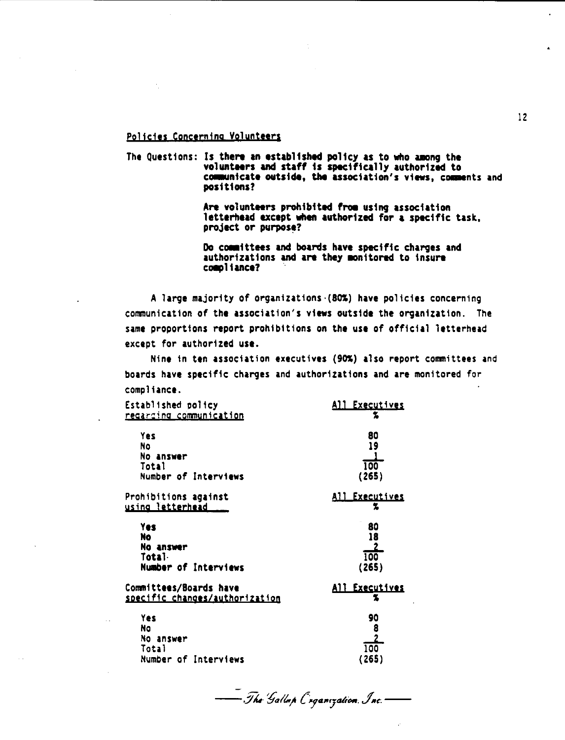#### Policies Concerning Volunteers

The Questions: Is there an established policy as to who among the volunteers and staff is specifically authorized to communicate outside, the association's views, comments and positions?

> Are volunteers prohibited from using association letterhead except when authorized for a specific task. project or purpose?

Do committees and boards have specific charges and authorizations and are they monitored to insure compliance?

A large majority of organizations (80%) have policies concerning communication of the association's views outside the organization. The same proportions report prohibitions on the use of official letterhead except for authorized use.

Nine in ten association executives (90%) also report committees and boards have specific charges and authorizations and are monitored for compliance.

| Established policy                                       | <u>All Executives</u>      |
|----------------------------------------------------------|----------------------------|
| <u>regarding communication</u>                           | z                          |
| Yes                                                      | 80                         |
| No                                                       | 19                         |
| No answer                                                |                            |
| Total                                                    | 100                        |
| Number of Interviews                                     | (265)                      |
| Prohibitions against                                     | All Executives             |
| using letterhead                                         | z                          |
| Yes                                                      | 80                         |
| No                                                       | 18                         |
| No answer                                                | 2                          |
| Total.                                                   | 100                        |
| Number of Interviews                                     | (265)                      |
| Committees/Boards have<br>specific changes/authorization | <u>All Executives</u><br>z |
| Yes                                                      | 90                         |
| Na                                                       | 8                          |
| No answer                                                | $\overline{2}$             |
| Total                                                    | 100                        |
| Number of Interviews                                     | (265)                      |
|                                                          |                            |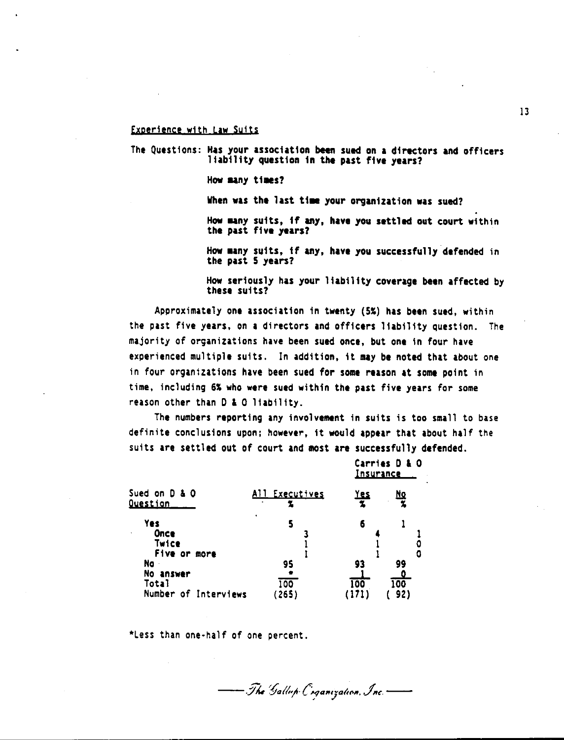#### **txaericnce wjth Law Suits**

The Questions: Has your association been sued on **a** directors and officers liability question in the past five years?

How many times?

When was the last time your organization was sued?

How many suits, if any, have you settled out court within the past five years?

How uny suits, if any, have you successfully defended in the past S years?

How seriously has your liability coverage been affected by these suits?

Approximately one association in twenty (5%) has been sued, within the past five years, on a directors and officers liability question. The majority of organizations have been sued once, but one in four have experienced multiple suits. In addition, it may be noted that about one in four organizations have been sued for **some** reason at **some** point in time, including 6% who **were** sued within the past five years for some reason other than O & 0 liability.

The numbers reporting any involvement in suits is too small to base definite conclusions upon; however, it would appear that about half the suits are settled out of court and most **are** successfully defended.

|                                                                                                    |                             | Carries D & O<br><u>Insurance</u> |                                    |  |
|----------------------------------------------------------------------------------------------------|-----------------------------|-----------------------------------|------------------------------------|--|
| Sued on D & O<br><u>Ouestion</u>                                                                   | All Executives<br>$\bullet$ | <u>Yes</u>                        | <u>Nq</u>                          |  |
| <b>Yes</b><br>Once<br>Twice<br>Five or more<br>Na<br>No<br>answer<br>Total<br>Number of Interviews | S<br>95<br>100<br>(265)     | 6<br>93<br>100                    | 0<br>99<br>$\overline{100}$<br>92) |  |

- The Gallup Coganization, Inc.

\*Less than one-half of one percent.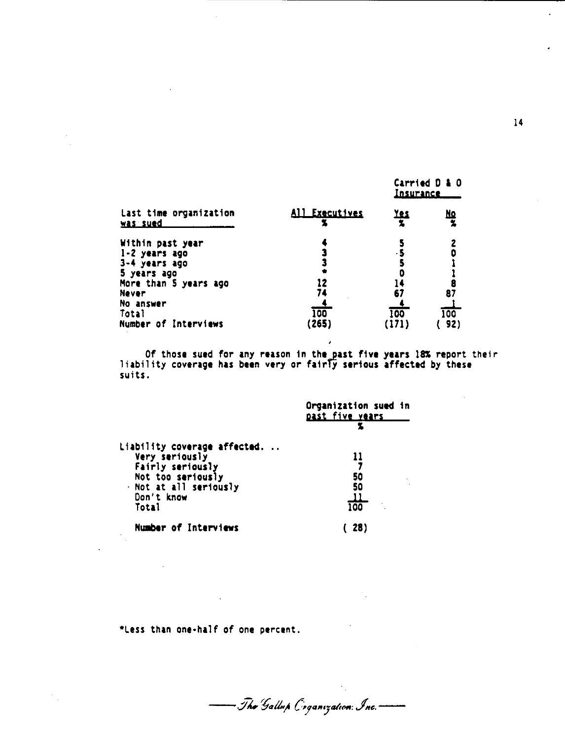|                                                                                                                             |                 | <u>Insurance</u> | Carried D & O |
|-----------------------------------------------------------------------------------------------------------------------------|-----------------|------------------|---------------|
| Last time organization<br>was sued                                                                                          | All Executives  | <u>Yes</u>       | <u>No</u>     |
| Within past year<br>$1-2$ years ago<br>3-4 years ago<br>5 years ago<br>More than 5 years ago<br>Never<br>No answer<br>Total | 12<br>74<br>100 | 67<br>100        | 87<br>100     |
| Number of Interviews                                                                                                        | (265)           |                  | 92)           |

Of those sued for any reason in the past five years 18% report their liability coverage has been very or fairly serious affected by these suits.

|                              | Organization sued in<br>past five years |
|------------------------------|-----------------------------------------|
|                              |                                         |
| Liability coverage affected. |                                         |
| Very seriously               |                                         |
| Fairly seriously             |                                         |
| Not too seriously            | 50                                      |
| - Not at all seriously       | 50                                      |
| Don't know                   |                                         |
| Total                        | 100                                     |
| <b>Number of Interviews</b>  |                                         |

\*Less than one-half of one percent.

— Tha Gallup Coganization: Inc.-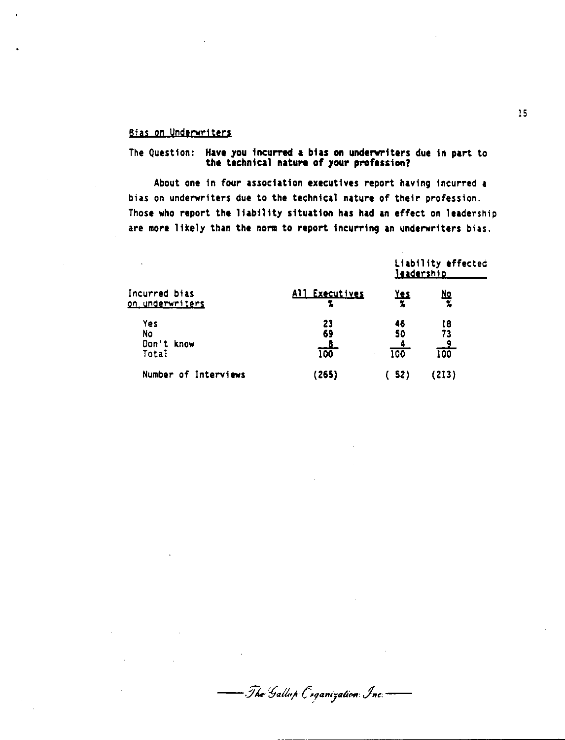#### Bias on Underwriters

# The Question: Have you incurred a bias on underwriters due in part to<br>the technical nature of your profession?

About one in four association executives report having incurred a bias on underwriters due to the technical nature of their profession. Those who report the liability situation has had an effect on leadership are more likely than the norm to report incurring an underwriters bias.

|                                                                             |                              | Liability effected<br>leadership  |                                      |  |  |
|-----------------------------------------------------------------------------|------------------------------|-----------------------------------|--------------------------------------|--|--|
| Incurred bias<br><u>on underwriters</u><br>Yes<br>No<br>Don't know<br>Total | All Executives               | <u>Yes</u>                        | <u>Nq</u><br>$\overline{\mathbf{z}}$ |  |  |
|                                                                             | 23<br>69<br><u>_8</u><br>100 | 46<br>50<br>$\overline{100}$<br>٠ | 18<br>73<br>$rac{9}{100}$            |  |  |
| Number of Interviews                                                        | (265)                        | 52)                               | 213)                                 |  |  |

- The Gallup Coganization Inc.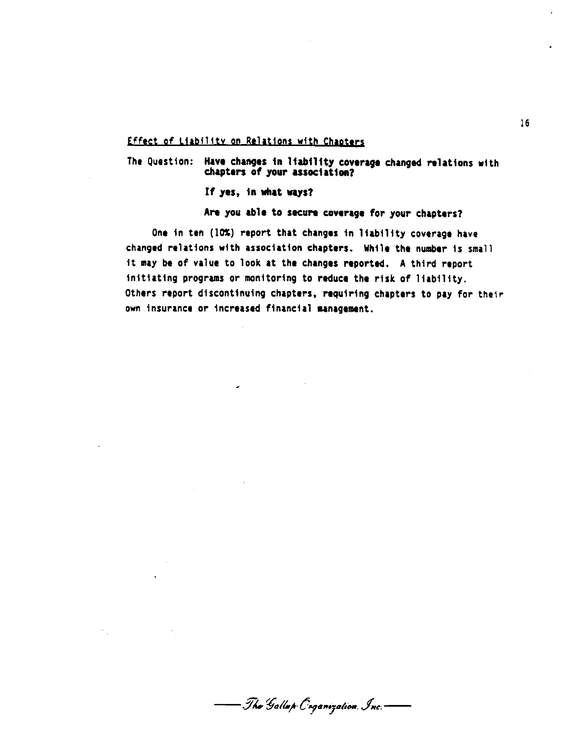#### Effect of Liability on Relations with Chapters

The Question: Have changes in liability coverage changed relations with chapters of your association?

If yes, 1n what ways?

## Are you able to secure coverage for your chapters?

One in ten (10%) report that changes in liability coverage have changed relations with association chapters. While the number is small it may be of value to look at the changes reported. A third report Initiating programs or monitoring to reduce the risk of liability. Others report discontinuing chapters, requiring chapters to pay *for* their own insurance or increased financial anagement.

- Tha Gallap Coganization. Inc.-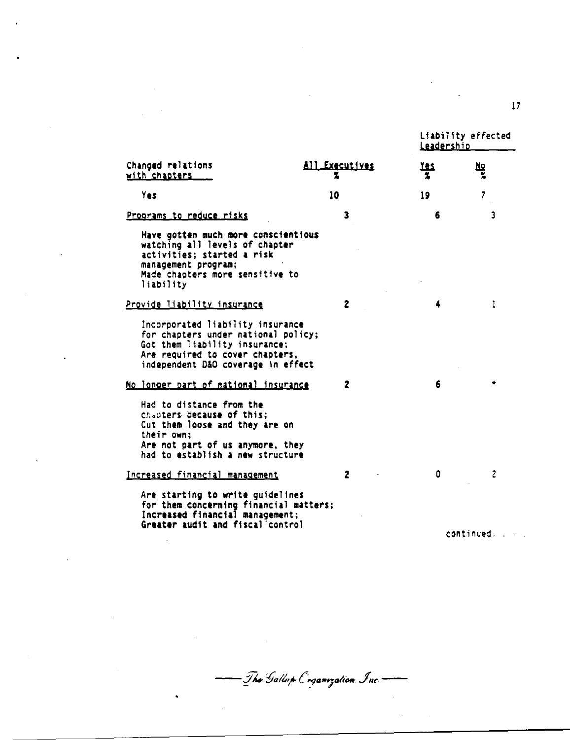|                                                                                                                                                                                   |                | Liability effected<br>Leadership |            |  |
|-----------------------------------------------------------------------------------------------------------------------------------------------------------------------------------|----------------|----------------------------------|------------|--|
| Changed relations<br>with chapters                                                                                                                                                | All Executives | <u>res</u><br>2                  | <u>No</u>  |  |
| Yes                                                                                                                                                                               | 10             | 19                               | 7          |  |
| Programs to reduce risks                                                                                                                                                          | 3              | 6                                | 3          |  |
| Have gotten much more conscientious<br>watching all levels of chapter<br>activities; started a risk<br>management program;<br>Made chapters more sensitive to<br>liability        |                |                                  |            |  |
| Provide liability insurance                                                                                                                                                       | $\mathbf{2}$   | 4                                | ı          |  |
| Incorporated liability insurance<br>for chapters under national policy;<br>Got them liability insurance;<br>Are required to cover chapters,<br>independent D&O coverage in effect |                |                                  |            |  |
| No longer part of national insurance                                                                                                                                              | 2              | 6                                |            |  |
| Had to distance from the<br>chapters because of this:<br>Cut them loose and they are on<br>their own:<br>Are not part of us anymore, they<br>had to establish a new structure     |                |                                  |            |  |
| Increased financial management                                                                                                                                                    | 2              | ٥                                |            |  |
| Are starting to write guidelines<br>for them concerning financial matters;<br>Increased financial management;<br>Greater audit and fiscal control                                 |                |                                  | continued. |  |

- The Gallup Cog<mark>anization</mark> Inc. -

 $\hat{\phantom{a}}$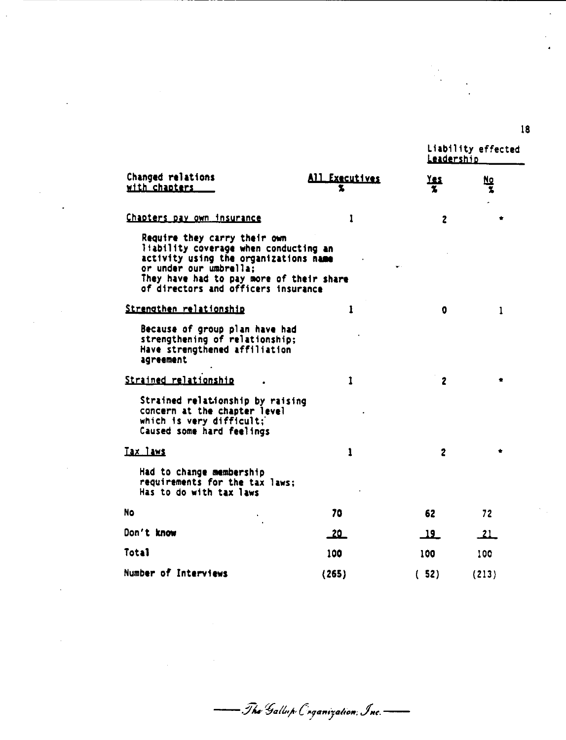Liability effected **Leadership** 

**IS** 

 $\overline{a}$ 

| Changed relations<br>with chapters                                                                                                                                                                                          | All Executives | res             | 80        |
|-----------------------------------------------------------------------------------------------------------------------------------------------------------------------------------------------------------------------------|----------------|-----------------|-----------|
| <u>Chapters pay own insurance</u>                                                                                                                                                                                           | 1              | 2               |           |
| Require they carry their own<br>liability coverage when conducting an<br>activity using the organizations name<br>or under our umbrella:<br>They have had to pay more of their share<br>of directors and officers insurance |                |                 |           |
| Strengthen relationship                                                                                                                                                                                                     | 1              | 0               | 1         |
| Because of group plan have had<br>strengthening of relationship;<br>Have strengthened affiliation<br>agreement                                                                                                              |                |                 |           |
| Strained relationship                                                                                                                                                                                                       | 1              | $\overline{2}$  |           |
| Strained relationship by raising<br>concern at the chapter level<br>which is very difficult;<br>Caused some hard feelings                                                                                                   |                |                 |           |
| Tax laws                                                                                                                                                                                                                    | ı              | $\mathbf{2}$    |           |
| Had to change membership<br>requirements for the tax laws;<br>Has to do with tax laws                                                                                                                                       |                |                 |           |
| <b>No</b>                                                                                                                                                                                                                   | 70             | 62              | 72        |
| Don't know                                                                                                                                                                                                                  | <u> 20 - </u>  | $\overline{19}$ | <u>21</u> |
| Total                                                                                                                                                                                                                       | 100            | 100             | 100       |
| Number of Interviews                                                                                                                                                                                                        | (265)          | (52)            | (213)     |

- The Gallup Cinganization, Inc.-

 $\overline{\phantom{0}}$ 

 $\mathbb{R}^2$ 

 $\mathbb{R}^2$ 

 $\bar{a}$ 

 $\mathcal{L}$ 

 $\overline{a}$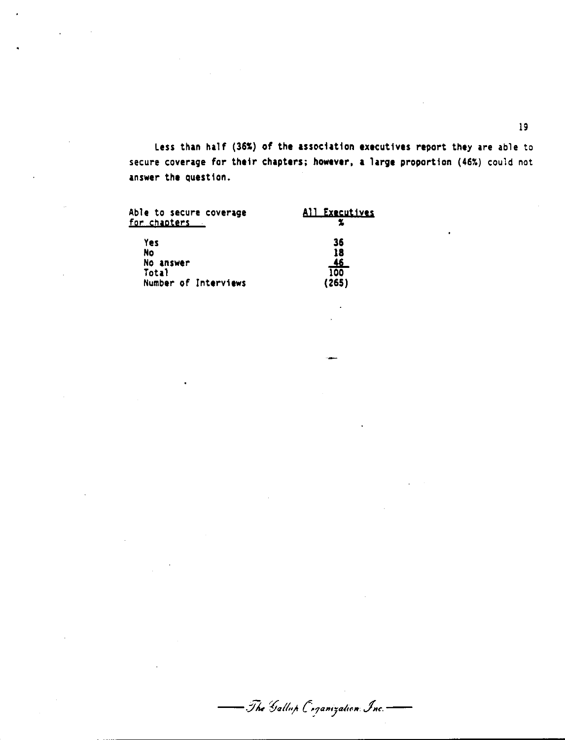Less than half (36%) of the association executives report they are able to secure coverage for their chapters; **however, a** large proportion (46%) could not answer the question.

| Able to secure coverage<br><u>for chapters .</u> | All Executives |
|--------------------------------------------------|----------------|
| Yes                                              | 36             |
| No                                               | 18             |
| No answer                                        | <u>46</u>      |
| Total                                            | 100            |
| Number of Interviews                             | (265)          |

- The Gallup Coganization Inc.  $\overline{\phantom{0}}$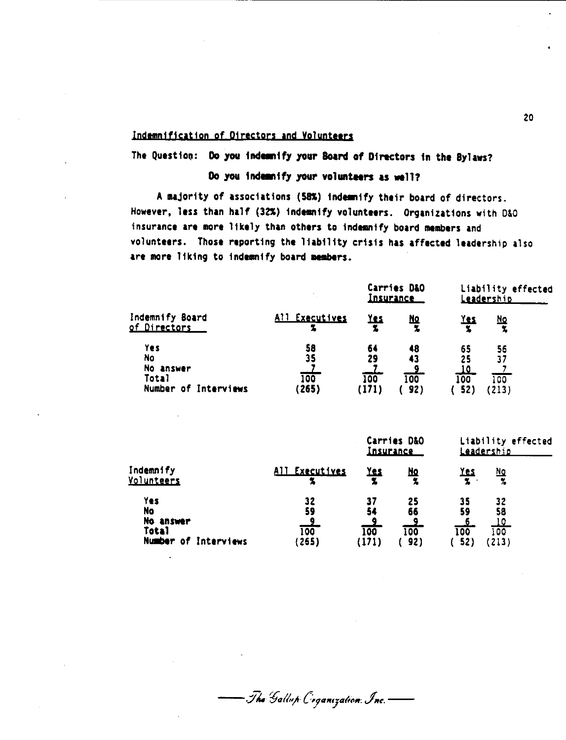#### Indemnification of Directors and Volunteers

The Question: **Do you indemnify your Board of Directors** in the Bylaws?

#### Do you indemnify your volunteers as well?

A majority of associations (58%) indemnify their board of directors. However, less than half (32%) indemnify volunteers. Organizations with D&O insurance are more likely than others to indemnify board members and volunteers. Those reporting the liability crisis has affected leadership also are more liking to indemnify board members.

|                                                                       |                          | Carries D&O<br><u>Insurance</u> |                        | Liability effected<br>Leadership                 |                         |  |
|-----------------------------------------------------------------------|--------------------------|---------------------------------|------------------------|--------------------------------------------------|-------------------------|--|
| Indemnify Board<br>of Directors                                       | All Executives<br>z      | <u>Yes</u>                      | <u>No</u>              | <u>Yes</u>                                       | <u>No</u><br>x          |  |
| Yes<br><b>No</b><br>No answer<br><b>Total</b><br>Number of Interviews | 58<br>35<br>100<br>(265) | 64<br>29<br>100<br>(171)        | 48<br>43<br>100<br>92) | 65<br>25<br><u>10</u><br>$\overline{100}$<br>521 | 56<br>37<br>100<br>213) |  |

|                                                                       |                                     | Carries D&O<br><u>Insurance</u> |                                     | Liability effected<br><u>Leadership</u> |                                       |  |
|-----------------------------------------------------------------------|-------------------------------------|---------------------------------|-------------------------------------|-----------------------------------------|---------------------------------------|--|
| Indemnify<br><u>Volunteers</u>                                        | All Executives                      | <b>Yes</b>                      | <u>No</u><br>z                      | <u>Yes</u><br>$\boldsymbol{\mathsf{z}}$ | <u>No</u><br>$\mathcal{H}$            |  |
| Yes<br><b>No</b><br>No answer<br><b>Total</b><br>Number of Interviews | 32<br>59<br>$\frac{9}{100}$<br>265) | 37<br>54<br>-9<br>100<br>1711   | 25<br>66<br><u>_9</u><br>100<br>92) | 35<br>59<br>100<br>52)                  | 32<br>58<br><u>10</u><br>100<br>(213) |  |

- The Gallup Coganization: Inc. - $\overline{\phantom{0}}$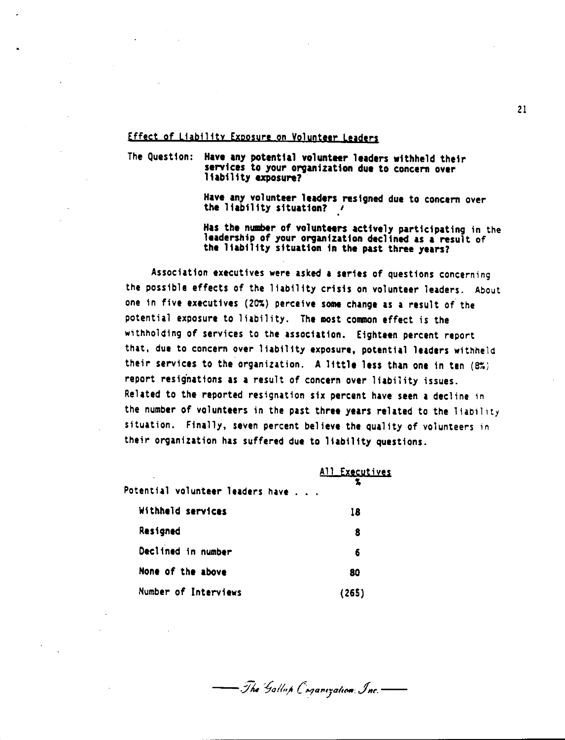#### **Effect of Liability Exposure on Volunteer Leaders**

The Question: Have any potential volunteer leaders withheld their services to your organization due to concern over liability exposure?

> Have any volunteer leaders resigned due to concern over the liability situation?  $\prime$

Has the number of volunteers actively participating in the leadership of your organization declined as a result of the liability situation in the past three years?

Association executives were asked **a** series of questions concerning the possible effects of the liability crisis on volunteer leaders. About one in five executives (20%) perceive some change as a result of the potential exposure to liability. The most common effect is the withholding of services to the association. Eighteen percent report that, due to concern over liability exposure, potential leaders withheld their services to the organization. A little less than one in ten  $(8\%)$ report resignations as a result of concern over liability issues. Related to the reported resignation six percent have seen a decline in the number of volunteers in the past three years related to the liability situation. Finally, seven percent believe the quality of volunteers in their organization has suffered due to liability questions.

| Potential volunteer leaders have | All Executives |
|----------------------------------|----------------|
| Withheld services                | 18             |
| Resigned                         | 8              |
| Declined in number               | 6              |
| None of the above                | 80             |
| Number of Interviews             | (265)          |

- The Gallup Coganization: Inc.-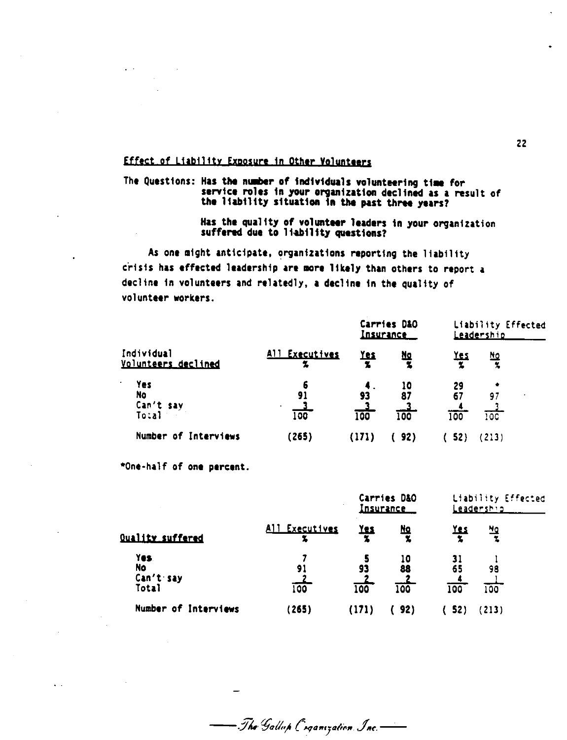#### Effect of Liability Exposure in Other Volunteers

The Questions: Has the number of individuals volunteering time for<br>service roles in your organization declined as a result of the liability situation in the past three years?

> Has the quality of volunteer leaders in your organization suffered due to liability questions?

As one might anticipate, organizations reporting the liability crisis has effected leadership are more likely than others to report a decline in volunteers and relatedly, a decline in the quality of volunteer workers.

|                                             |                      | Carries D&O<br><u>Insurance</u> |                             | Liability Effected<br><u>Leadership</u> |                          |  |
|---------------------------------------------|----------------------|---------------------------------|-----------------------------|-----------------------------------------|--------------------------|--|
| Individual<br>Volunteers declined           | All Executives       | <u>Yes</u>                      | 血<br>Ž                      | <u>Yes</u>                              | <u>No</u><br>$\mathbf x$ |  |
| Yes<br>٠<br><b>No</b><br>Can't say<br>Tocal | 6<br>91<br>٠.<br>100 | 93<br>100                       | 10<br>87<br>$\frac{3}{100}$ | 29<br>67<br>100                         | ۰<br>97<br>100           |  |
| Number of Interviews                        | (265)                | (171)                           | 92)                         | 52)                                     | (213)                    |  |

\*One-half of one percent.

 $\mathbf{v}$  .

|                                   |                | Carries D&O<br><u>Insurance</u> |                 | Liability Effected<br>Leadership |           |  |
|-----------------------------------|----------------|---------------------------------|-----------------|----------------------------------|-----------|--|
| <b>Quality suffered</b>           | All Executives | <u>Yes</u>                      | <u>No</u>       | <b>Yes</b>                       | 떨         |  |
| Yes.<br>No.<br>Can't say<br>Total | 91<br>100      | 93<br>100                       | 10<br>88<br>100 | 65<br>100                        | 98<br>100 |  |
| Number of Interviews              | (265)          | (171)                           | 92)             | 52)                              | (213)     |  |

— The Gallup Coganization Inc.-

 $22$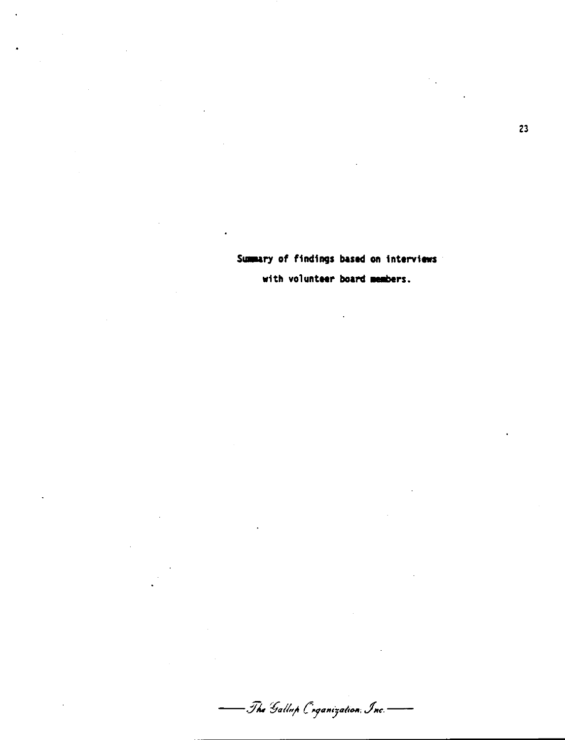Summary of findings based on interviews

 $\ddot{\phantom{0}}$ 

with volunteer board members.

- The Gallup Coganization Inc.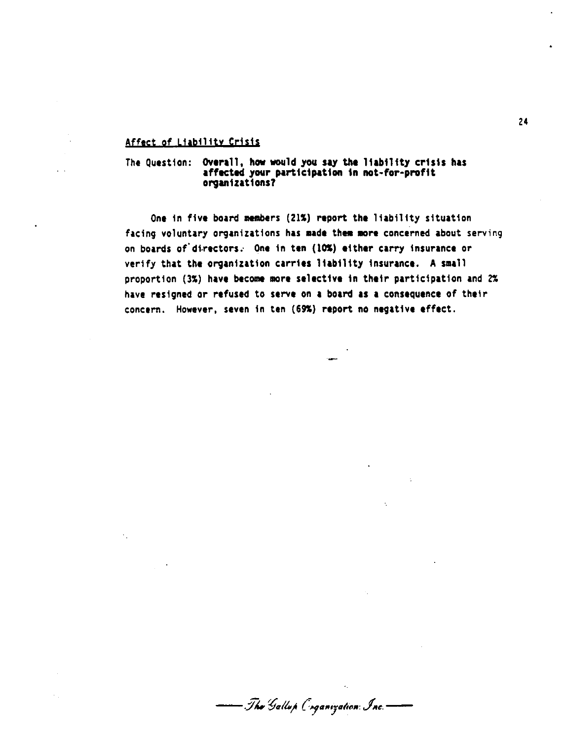#### **Afftct of L1ab111tv Crisis**

The Question: Overall, how would you say the liability crisis has affected your participation in not-for-profit organizations?

One in five board members (21%) report the liability situation facing voluntary organizations has made them more concerned about serving on boards of directors. One in ten (10%) either carry insurance or verify that the organization carries liability insurance. A small proportion (3%) have become more selective in their participation and 2% have resigned or refused to serve on a board as a consequence of their concern. However, seven in ten (69S) report no negative effect.

- Tha Gallup Coganization: Inc. –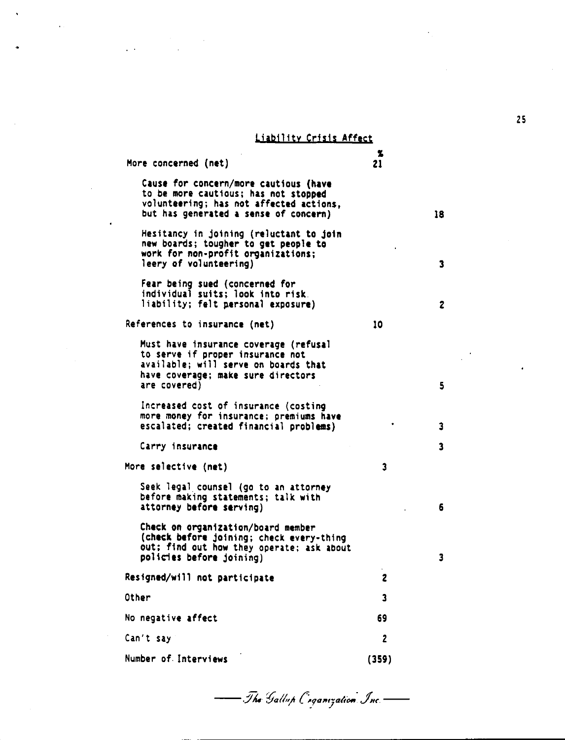#### Liability crisis Affect

More concerned (net) Cause for concern/more cautious **(have**  volunteering; has not affected actions, but has generated a sense of concern) Hesitancy in joining (reluctant to Join new boards; tougher to get people to work for non-profit organizations; leery of volunteering) Fear being sued (concerned for individual suits; look into risk. liability; felt personal exposure) References to insurance **(net)**  Must have insurance coverage (refusal to serve if proper insurance not available; will serve on boards that have coverage; **make** sure directors are covered) Increased cost of insurance (costing more money for insurance; premiums **have**  escalated; created financial problems) Carry insurance More selective **(net)**  Seek legal counsel (go to an attorney<br>before making statements; talk with attorney **before** serving) Check on organization/board member (check before joining; check every-thing out; find out how they operate; ask about  $\frac{2}{21}$ 10 3 policies before joining) 3 Resigned/will not participate 2 Other 3 and 3 and 3 and 3 and 3 and 3 and 3 and 3 and 3 and 3 and 3 and 3 and 3 and 3 and 3 and 3 and 3 and 3 and 3 and 3 and 3 and 3 and 3 and 3 and 3 and 3 and 3 and 3 and 3 and 3 and 3 and 3 and 3 and 3 and 3 and 3 and No negative affect 69 Can't say 2 Number of Interviews (359)

25

18

3

2

5

3

3

6

- The Gallup Coganization Inc. -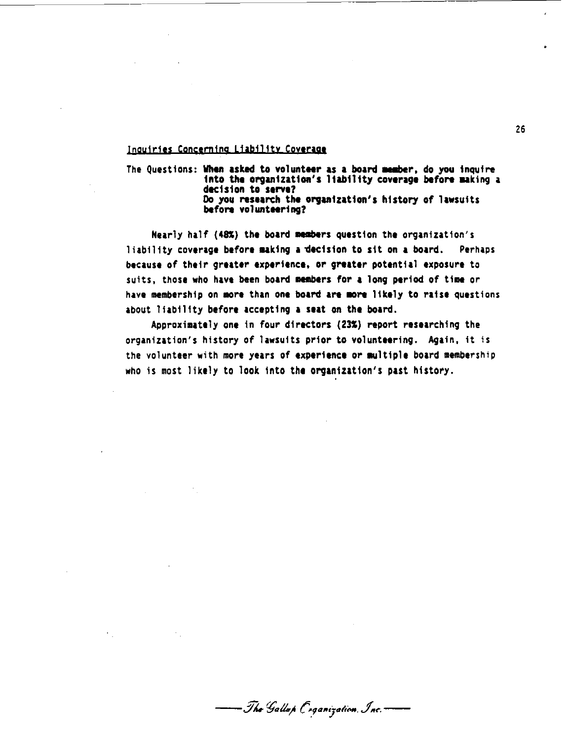#### **Inquiries Concerning Liability Coverage**

The Questions: When asked to volunteer as a board member, do you inquire into the organization's liability coverage before making a dec1s1on to **serve?**  Do you research the organtzatton's history of lawsuits **before** volunteering?

Nearly half (48%) the board members question the organization's liability coverage before uktng **a** 'dectston to sit on **a** board. Perhaps because of their greater **1xperi1nce,** or **greater** potential exposure to suits, those who have been board members for a long period of time or have membership on more than one board are more likely to raise questions about liability before accepting a seat on the board.

Approximately one in four directors (23%) report researching the organization's history of lawsuits prior to volunteering. Again, it is the volunteer with more years of experience or multiple board membership who is most likely to look Into the organization's past history.

26

— Tho Gallap Coganization, Inc. –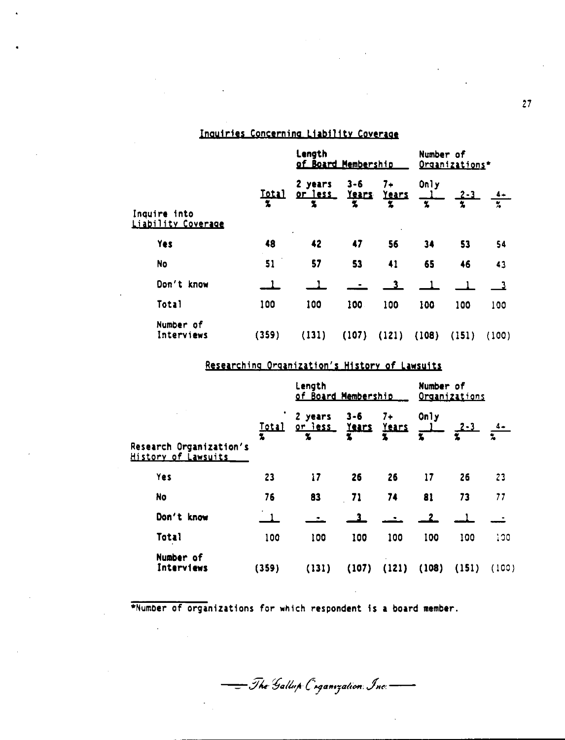## Inquiries Concerning Liability Coverage

 $\mathbf{r}$ 

|                                           | Length<br><u>of Board Membership</u> |                         |                       | Number of<br>Organizations* |           |             |           |
|-------------------------------------------|--------------------------------------|-------------------------|-----------------------|-----------------------------|-----------|-------------|-----------|
| Inquire into<br><u>Liability Coverage</u> | <u>Total</u>                         | 2 years<br>or less<br>2 | $3 - 6$<br>Years<br>Z | $7+$<br>Years<br>2          | Only<br>光 | <u>2-3.</u> | $\bar{z}$ |
| <b>Yes</b>                                | 48                                   | $\bullet$<br>42         | 47                    | 56                          | 34        | 53          | 54        |
| <b>No</b>                                 | 51                                   | 57                      | 53                    | 41                          | 65        | 46          | 43        |
| Don't know                                |                                      |                         |                       | 3                           |           |             |           |
| Total                                     | 100                                  | 100                     | 100                   | 100                         | 100       | 100         | 100       |
| Number of<br>Interviews                   | (359)                                | (131)                   | (107)                 | (121)                       | (108)     | (151)       | (100)     |

## Researching Organization's History of Lawsuits

|                                                |                   | Length<br><u>of Board Membership</u>      |                  |                      | Number of<br>Organizations |              |       |  |
|------------------------------------------------|-------------------|-------------------------------------------|------------------|----------------------|----------------------------|--------------|-------|--|
| Research Organization's<br>History of Lawsuits | <u>Total</u><br>2 | 2 years<br><u>or less</u><br>$\mathbf{z}$ | $3 - 6$<br>Years | $7+$<br><b>Years</b> | 0n1y                       | <u> 2-3 </u> |       |  |
| Yes                                            | 23                | 17                                        | 26               | 26                   | $\overline{17}$            | 26           | 23    |  |
| No                                             | 76                | 83                                        | 71               | 74                   | 81                         | 73           | 77    |  |
| Don't know                                     |                   |                                           | з.               |                      |                            |              |       |  |
| Total                                          | 100               | 100                                       | 100              | 100                  | 100                        | 100          | 100   |  |
| Number of<br>Interviews                        | (359)             | (131)                                     | (107)            | (121)                | (108)                      | (151)        | (100) |  |

\*Number of organizations for which respondent is a board member.

- The Gallup Coganization Inc.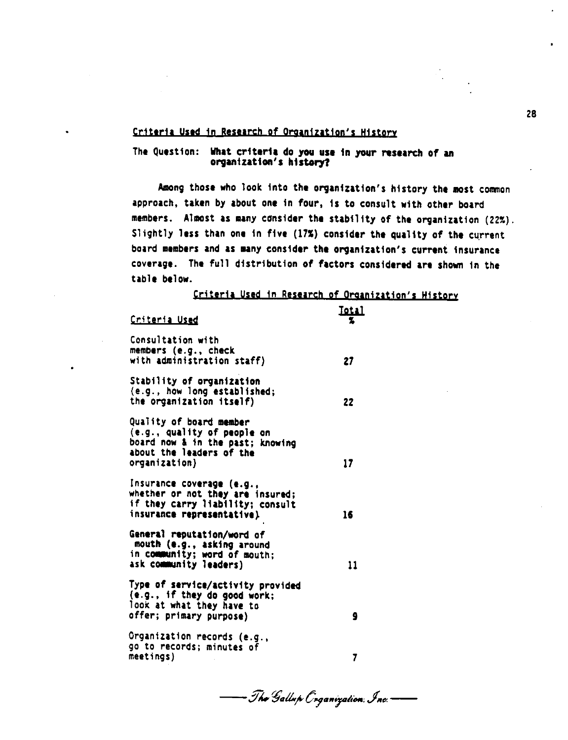**Criteria Used in Research of Organization's History** 

#### The Question: What criteria do you use 1n your research of an **organizat1011's history?**

Among those who look into the organization's history the most common approach, taken by about one in four, 1s to consult with other board members. Almost as any consider the stability of the organization (22%). Slightly less than one in five (17%) consider the quality of the current board members and as many consider the organization's current insurance coverage. The full distribution of factors considered are shown in the table below.

**Criteria Used in Research of Organization's History** 

| Criteria Used                                                                                                                           | 10 L I |
|-----------------------------------------------------------------------------------------------------------------------------------------|--------|
| Consultation with<br>members (e.g., check<br>with administration staff)                                                                 | 27     |
| Stability of organization<br>(e.g., how long established;<br>the organization itself)                                                   | 22     |
| Quality of board member<br>(e.g., quality of people on<br>board now & in the past; knowing<br>about the leaders of the<br>organization) | 17     |
| Insurance coverage (e.g.,<br>whether or not they are insured;<br>if they carry liability; consult<br>insurance representative).         | 16     |
| General reputation/word of<br>mouth (e.g., asking around<br>in community; word of mouth;<br>ask community leaders)                      | 11     |
| Type of service/activity provided<br>(e.g., if they do good work;<br>look at what they have to<br>offer; primary purpose)               | 9      |
| Organization records (e.g.,<br>go to records; minutes of<br>meetings)                                                                   | 7      |

- Tha Gallup Coganization, Inc. –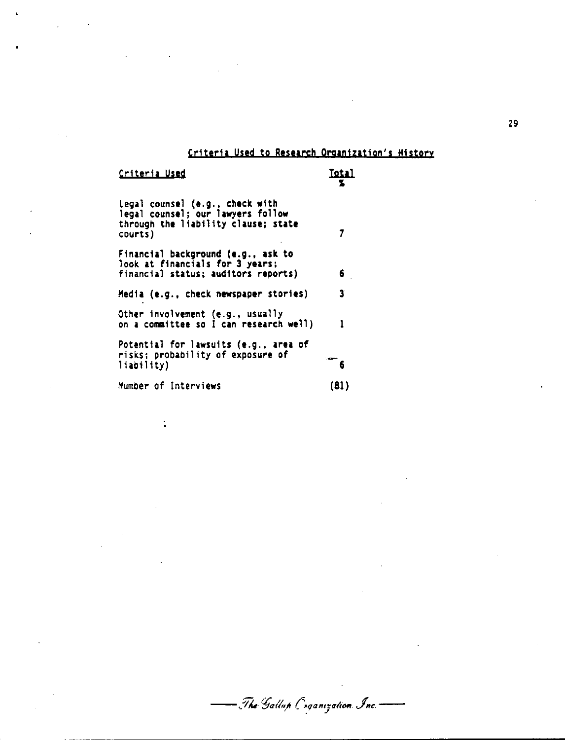## Criteria Used to Research Organization's History

- The Gallup Coganization Inc.

Criteria Used

 $\ddot{\cdot}$ 

 $\ddot{\phantom{a}}$ 

 $\overline{\mathbf{r}}$ 

**Total** 

| Legal counsel (e.g., check with<br>legal counsel; our lawyers follow<br>through the liability clause; state<br>courts) |      |
|------------------------------------------------------------------------------------------------------------------------|------|
| Financial background (e.g., ask to<br>look at financials for 3 years;<br>financial status; auditors reports)           | 6    |
| Media (e.g., check newspaper stories)                                                                                  | 3.   |
| Other involvement (e.g., usually<br>on a committee so I can research well)                                             | 1    |
| Potential for lawsuits (e.g., area of<br>risks; probability of exposure of<br>liability)                               |      |
| Number of Interviews                                                                                                   | (81) |

29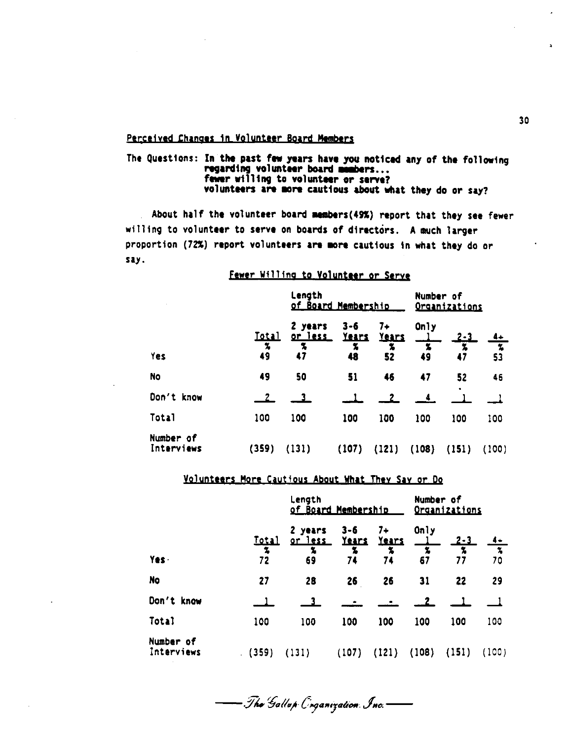#### Perceived Changes in Volunteer Board Members

#### The Questions: In the past few years have you noticed any of the following regarding volunteer board members... fewer willing to volunteer or serve? volunteers are more cautious about what they do or say?

About half the volunteer board members(49%) report that they see fewer willing to volunteer to serve on boards of directors. A much larger proportion (72%) report volunteers are more cautious in what they do or say.

#### Fewer Willing to Volunteer or Serve

|                         |                                    | Length<br><u>of Board Membership</u> | Number of<br><b>Organizations</b> |                           |           |                                |       |
|-------------------------|------------------------------------|--------------------------------------|-----------------------------------|---------------------------|-----------|--------------------------------|-------|
|                         | <u>Total</u><br>$\boldsymbol{\pi}$ | 2 years<br><u>or less</u><br>为       | $3 - 6$<br><b>Years</b><br>7,     | $7+$<br><u>Years</u><br>x | Only<br>x | <u>2-3</u><br>$\boldsymbol{z}$ | 7.    |
| Yes                     | 49                                 | 47                                   | 48                                | 52                        | 49        | 47                             | 53    |
| <b>No</b>               | 49                                 | 50                                   | 51                                | 46                        | 47        | 52<br>٠                        | 46    |
| Don't know              |                                    |                                      |                                   |                           |           |                                |       |
| Total                   | 100                                | 100                                  | 100                               | 100                       | 100       | 100                            | 100   |
| Number of<br>Interviews | (359)                              | (131)                                | (107)                             | (121)                     | (108)     | (151)                          | (100) |

#### Volunteers More Cautious About What They Say or Do

|                         |                         | Length<br>of Board Membership        | Number of<br><u>Organizations</u>  |                          |                 |                                                  |                                |
|-------------------------|-------------------------|--------------------------------------|------------------------------------|--------------------------|-----------------|--------------------------------------------------|--------------------------------|
| Yes.                    | <u>Total</u><br>2<br>72 | 2 years<br><u>or less</u><br>x<br>69 | $3 - 6$<br><u>Years</u><br>7<br>74 | $7+$<br>Years<br>x<br>74 | Only<br>幺<br>67 | <u> 2 - 3 </u><br>$\boldsymbol{\tilde{x}}$<br>77 | $\boldsymbol{\tilde{z}}$<br>70 |
| No                      | 27                      | 28                                   | 26                                 | 26                       | 31              | 22                                               | 29                             |
| Don't know              |                         | 3.                                   |                                    |                          |                 |                                                  |                                |
| Total                   | 100                     | 100                                  | 100                                | 100                      | 100             | 100                                              | 100                            |
| Number of<br>Interviews | (359)                   | (131)                                | (107)                              | (121)                    | (108)           | (151)                                            | (100)                          |

— The Gallup C*r*ganization Inc.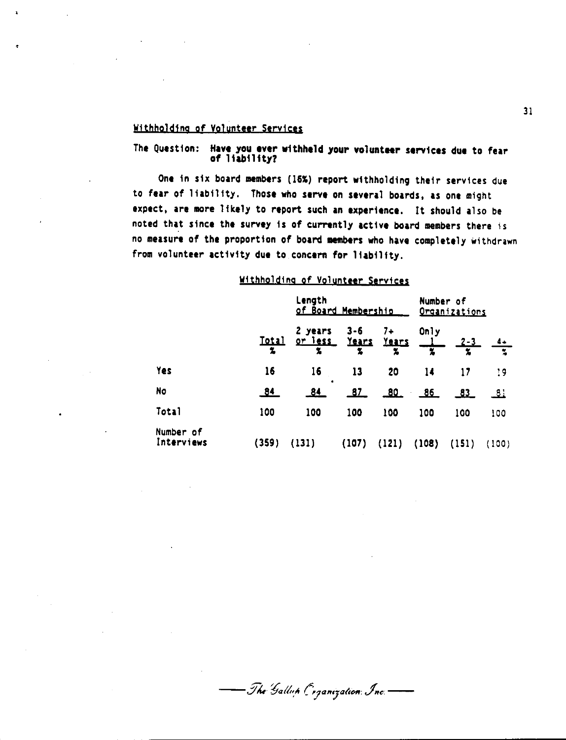#### **W1thbold1ns pf Volunteer Services**

#### The Question: Have you ever withheld your volunteer services due to fear of l iab11 ity?

One in six board members (16%) report withholding their services due to fear of liability. Those who **serve** on several boards, as one might expect, are more likely to report such an experience. It should also be noted that since the survey is of currently active board members there is no measure of the proportion of board members who have completely withdrawn from volunteer activity **due** to concern for liability.

#### Withholding of Volunteer Services

|                         |                   | Length<br>of Board Membership                     | Number of<br><u>Organizations</u> |       |       |            |              |
|-------------------------|-------------------|---------------------------------------------------|-----------------------------------|-------|-------|------------|--------------|
|                         | <u>Total</u><br>2 | 2 years 3-6 7+<br><u>or less Years</u> Years<br>孟 | 鬼                                 | x     | Only  | <u>2-3</u> | $\mathbf{v}$ |
| Yes                     | 16                | 16                                                | 13                                | 20    | 14    | 17         | 19           |
| No                      | <u>84</u>         | ٠<br><u>84</u>                                    | <u>87</u>                         | 80_   | 86    | 83         | .81          |
| Total                   | 100               | 100                                               | 100                               | 100   | 100   | 100        | 100          |
| Number of<br>Interviews | (359)             | (131)                                             | (107)                             | (121) | (108) | (151)      | (100)        |

- The Gallup Coganization: Inc.-

31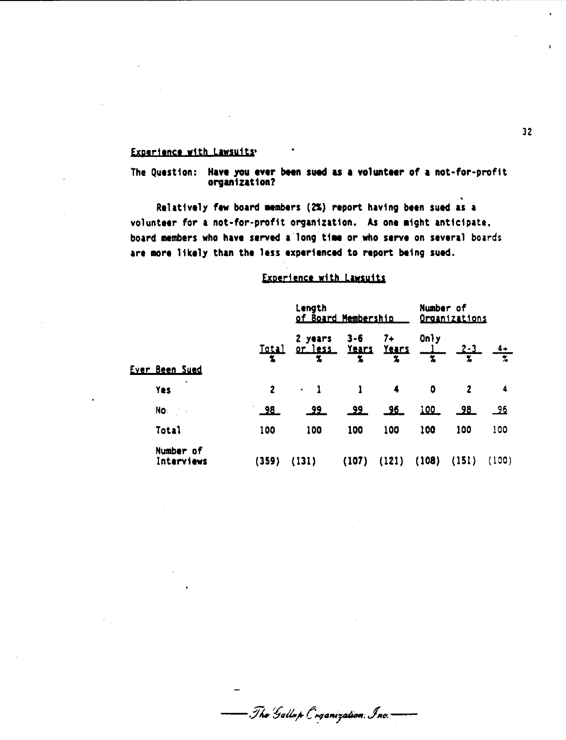#### Experience with Lawsuits'

The Question: Have you ever been sued as a volunteer of a not-for-profit organization?

Relatively few board members (2%) report having been sued as a volunteer for a not-for-profit organization. As one might anticipate, board members who have served a long time or who serve on several boards are more likely than the less experienced to report being sued.

#### Experience with Lawsuits

|  |                         |                                    | Length<br>of Board Membership | Number of<br>Organizations |           |                   |                      |           |
|--|-------------------------|------------------------------------|-------------------------------|----------------------------|-----------|-------------------|----------------------|-----------|
|  | <u>Istal</u>            | 2 years<br>orless Years Years<br>L | $3 - 6$<br>为                  | $7+$<br>x                  | Only<br>Z | <u>2-3 </u><br>Y. | $\tilde{\mathbf{z}}$ |           |
|  | <b>Ever Been Sued</b>   |                                    |                               |                            |           |                   |                      |           |
|  | ٠<br>Yes                | $\mathbf{2}$                       | $\bullet$                     | $\mathbf{1}$               | 4         | 0                 | 2                    | 4         |
|  | No:                     | <u>_98_</u>                        | <u>وو</u>                     | <u>_99_</u>                |           | <u> 100 </u>      | <u>_98_</u>          | <u>96</u> |
|  | Total                   | 100                                | 100                           | 100                        | 100       | 100               | 100                  | 100       |
|  | Number of<br>Interviews | (359)                              | (131)                         | (107)                      | (121)     | (108)             | (151)                | (100)     |

— Tha Gallup Coganization, Inc.–

 $32<sup>°</sup>$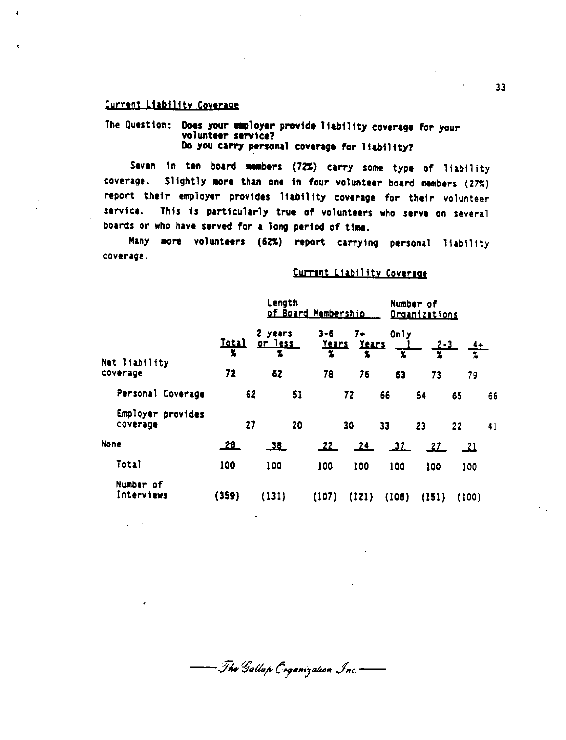#### Current Liability Coverage

The Question: Does your employer provide liability coverage for your volunteer service? Do you carry personal coverage for liability?

Seven in ten board members (72%) carry some type of liability Slightly more than one in four volunteer board members (27%) coverage. report their employer provides liability coverage for their volunteer service. This is particularly true of volunteers who serve on several boards or who have served for a long period of time.

Many more volunteers (62%) report carrying personal liability coverage.

#### Current Liability Coverage

|                                     | Length<br>of Board Membership |                                |    |                                    |                         |                  | Number of<br>Organizations |             |    |  |
|-------------------------------------|-------------------------------|--------------------------------|----|------------------------------------|-------------------------|------------------|----------------------------|-------------|----|--|
| $\sim$<br>Net liability<br>coverage | <u>Iotal</u><br>玉<br>72       | 2 years<br>or less<br>Ž.<br>62 |    | $3 - 6$<br><u>Years</u><br>z<br>78 | 7+<br>Years<br>2.<br>76 | Only<br>٧.<br>63 | <u>2-3</u><br>z<br>73      | 79          |    |  |
| Personal Coverage                   |                               |                                |    |                                    |                         |                  |                            |             |    |  |
|                                     |                               | 62                             | 51 |                                    | 72                      | 66               | 54                         | 65          | 66 |  |
| Employer provides<br>coverage       |                               | 27                             | 20 |                                    | 30                      | 33               | 23                         | 22          | 41 |  |
| <b>None</b>                         | <u>28</u>                     | 38                             |    | _22_                               | 24                      | $\frac{37}{2}$   | <u>27</u>                  | $\sqrt{21}$ |    |  |
| Total                               | 100                           | 100                            |    | 100                                | 100                     | 100              | 100                        | 100         |    |  |
| Number of<br>Interviews             | (359)                         | (131)                          |    | (107)                              | (121)                   | (108)            | (151)                      | (100)       |    |  |

- The Gallup Coganization, Inc.-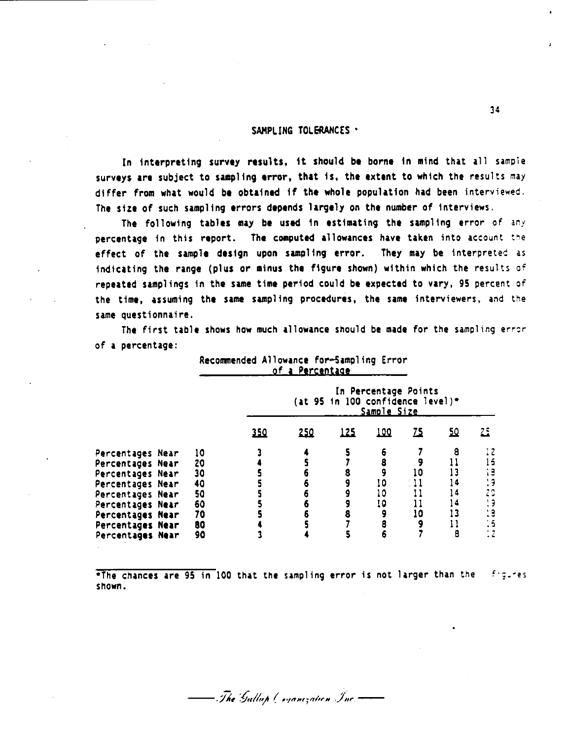#### SAMPLING TOLERANCES .

In interpreting survey results, it should be borne in mind that all sample surveys are subject to sampling error, that is, the extent to which the results may differ from what would **bt** obtained if the whole population had been interviewed. The size of such sampling errors depends largely on the number of interviews.

The following tables may be used in estimating the sampling error of any percentage in this report. The computed allowances have taken into account the effect of the sample design upon sampling error. They may be interpreted as indicating the range (plus or minus the figure shown) within which the results of repeated samplings in the same time period could be expected to vary, 95 percent of the time, assuming the same sampling procedures, the same interviewers, and the same questionnaire.

The first table shows how much allowance should be made for the sampling error of **a** percentage:

|                  |    |            | of a Percentage                                                         |             |             |      |           |                      |  |
|------------------|----|------------|-------------------------------------------------------------------------|-------------|-------------|------|-----------|----------------------|--|
|                  |    |            | In Percentage Points<br>(at 95 in 100 confidence level)*<br>Sample Size |             |             |      |           |                      |  |
|                  |    | <u>350</u> | <u>250</u>                                                              | <u> 125</u> | <u> 100</u> | 75   | <u>50</u> | 25                   |  |
| Percentages Near | 10 |            |                                                                         |             |             |      | 8         |                      |  |
| Percentages Near | 20 |            |                                                                         |             |             |      |           |                      |  |
| Percentages Near | 30 |            |                                                                         |             |             | 10   | ا :       |                      |  |
| Percentages Near | 40 |            |                                                                         |             | 10          | . 11 | ، 4       |                      |  |
| Percentages Near | 50 |            |                                                                         |             | 10          | 11   | 14        |                      |  |
| Percentages Near | 60 |            |                                                                         |             | 10          |      | 14        |                      |  |
| Percentages Near | 70 |            |                                                                         |             |             | 10   | 13        |                      |  |
| Percentages Near | 80 |            |                                                                         |             |             |      |           | $\ddot{\phantom{1}}$ |  |
| Percentages Near | 90 |            |                                                                         |             |             |      | 8         |                      |  |

Recommended Allowance for-Sampling Error

\*The chances are 95 in 100 that the sampling error is not larger than the figures shown.

- The Gullah Cogamzation Inc.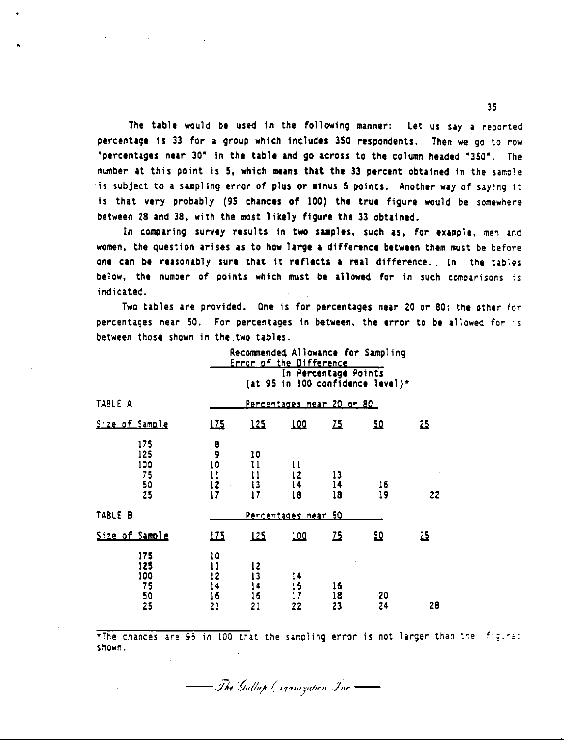The table would be used in the following manner: Let us say a reported percentage is 33 for a group which includes 350 respondents. Then we go to row "percentages near 30' In the table and go across to the column headed '350". The number at this point is 5, which **means** that the 33 percent obtained in the sample is subject to a sampling error of plus or minus 5 points. Another way of saying it is that very probably (95 chances of 100) the true figure would be somewhere between 28 and 38, with the most likely figure the 33 obtained.

•

In comparing survey results in two samples, such as, for example, men and women, the question arises as to how large a difference between them must be before one can be reasonably sure that it reflects a real difference. In the tables below, the number of points which must be allowed for in such comparisons is indicated.

Two tables are provided. One is for percentages near 20 *or* 80; the other for percentages near 50. For percentages in between, the error to be allowed for is between those shown in the.two tables.

|                                     | Recommended Allowance for Sampling<br>Error of the Difference |                            |                            |                      |                                  |            |  |  |
|-------------------------------------|---------------------------------------------------------------|----------------------------|----------------------------|----------------------|----------------------------------|------------|--|--|
|                                     |                                                               |                            |                            | In Percentage Points | (at 95 in 100 confidence level)* |            |  |  |
| TABLE A                             |                                                               | Percentages near 20 or 80  |                            |                      |                                  |            |  |  |
| Size of Sample                      | 172                                                           | 125                        | 100                        | <u> 25</u>           | 요                                | 25         |  |  |
| 175<br>125<br>100<br>75<br>50<br>25 | 8<br>9<br>10<br>11<br>12<br>17                                | 10<br>11<br>11<br>13<br>17 | 11<br>12<br>14<br>18       | 13<br>14<br>18       | 16<br>19                         | 22         |  |  |
| TABLE B                             |                                                               |                            | <u>Percentages near 50</u> |                      |                                  |            |  |  |
| Size of Sample                      | 175                                                           | 125                        | <u> 100</u>                | <u>75</u>            | 边                                | <u> 25</u> |  |  |
| 175<br>125<br>100<br>75<br>50<br>25 | 10<br>11<br>12<br>14<br>16<br>21                              | 12<br>13<br>14<br>16<br>21 | 14<br>15<br>17<br>22       | 16<br>18<br>23       | 20<br>24                         | 28         |  |  |

\*The chances are 95 in 100 that the sampling error is not larger than the figure: shown.

The Gallup Corporation Inc.